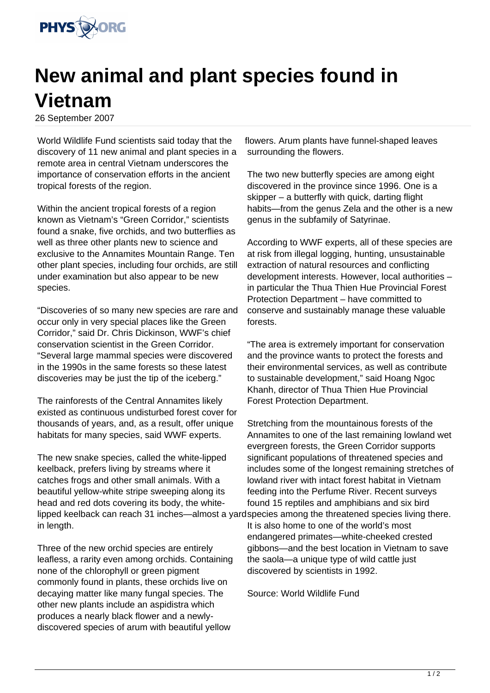

## **New animal and plant species found in Vietnam**

26 September 2007

World Wildlife Fund scientists said today that the discovery of 11 new animal and plant species in a remote area in central Vietnam underscores the importance of conservation efforts in the ancient tropical forests of the region.

Within the ancient tropical forests of a region known as Vietnam's "Green Corridor," scientists found a snake, five orchids, and two butterflies as well as three other plants new to science and exclusive to the Annamites Mountain Range. Ten other plant species, including four orchids, are still under examination but also appear to be new species.

"Discoveries of so many new species are rare and occur only in very special places like the Green Corridor," said Dr. Chris Dickinson, WWF's chief conservation scientist in the Green Corridor. "Several large mammal species were discovered in the 1990s in the same forests so these latest discoveries may be just the tip of the iceberg."

The rainforests of the Central Annamites likely existed as continuous undisturbed forest cover for thousands of years, and, as a result, offer unique habitats for many species, said WWF experts.

The new snake species, called the white-lipped keelback, prefers living by streams where it catches frogs and other small animals. With a beautiful yellow-white stripe sweeping along its head and red dots covering its body, the whitelipped keelback can reach 31 inches—almost a yardspecies among the threatened species living there. in length.

Three of the new orchid species are entirely leafless, a rarity even among orchids. Containing none of the chlorophyll or green pigment commonly found in plants, these orchids live on decaying matter like many fungal species. The other new plants include an aspidistra which produces a nearly black flower and a newlydiscovered species of arum with beautiful yellow

flowers. Arum plants have funnel-shaped leaves surrounding the flowers.

The two new butterfly species are among eight discovered in the province since 1996. One is a skipper – a butterfly with quick, darting flight habits—from the genus Zela and the other is a new genus in the subfamily of Satyrinae.

According to WWF experts, all of these species are at risk from illegal logging, hunting, unsustainable extraction of natural resources and conflicting development interests. However, local authorities – in particular the Thua Thien Hue Provincial Forest Protection Department – have committed to conserve and sustainably manage these valuable forests.

"The area is extremely important for conservation and the province wants to protect the forests and their environmental services, as well as contribute to sustainable development," said Hoang Ngoc Khanh, director of Thua Thien Hue Provincial Forest Protection Department.

Stretching from the mountainous forests of the Annamites to one of the last remaining lowland wet evergreen forests, the Green Corridor supports significant populations of threatened species and includes some of the longest remaining stretches of lowland river with intact forest habitat in Vietnam feeding into the Perfume River. Recent surveys found 15 reptiles and amphibians and six bird

It is also home to one of the world's most endangered primates—white-cheeked crested gibbons—and the best location in Vietnam to save the saola—a unique type of wild cattle just discovered by scientists in 1992.

Source: World Wildlife Fund